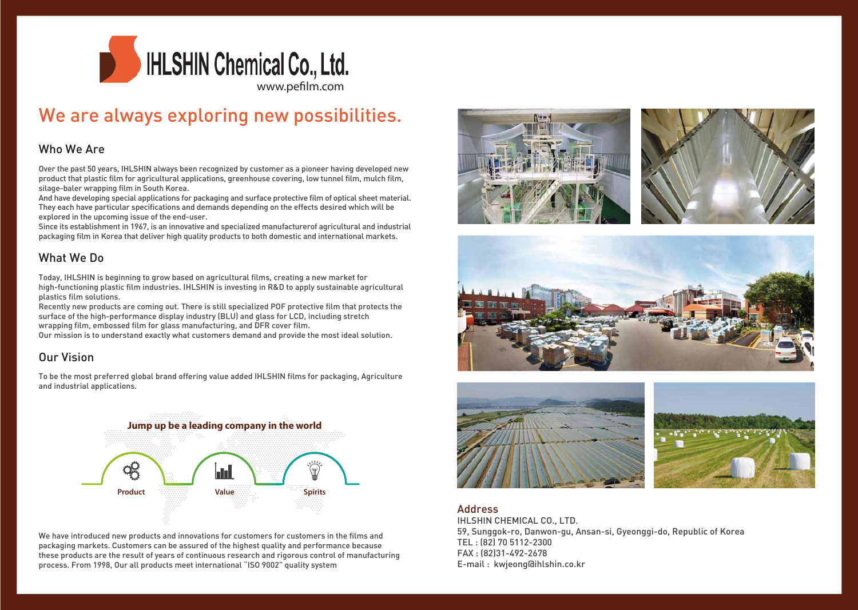

www.pefilm.com

# We are always exploring new possibilities.

#### Who We Are

Over the past 50 years, IHLSHIN always been recognized by customer as a pioneer having developed new product that plastic film for agricultural applications, greenhouse covering, low tunnel film, mulch film, silage-baler wrapping film in South Korea.

And have developing special applications for packaging and surface protective film of optical sheet material. They each have particular specifications and demands depending on the effects desired which will be explored in the upcoming issue of the end-user.

Since its establishment in 1967, is an innovative and specialized manufacturerof agricultural and industrial packaging film in Korea that deliver high quality products to both domestic and international markets.

### What We Do

Today, IHLSHIN is beginning to grow based on agricultural films, creating a new market for high-functioning plastic film industries. IHLSHIN is investing in R&D to apply sustainable agricultural plastics film solutions.

Recently new products are coming out. There is still specialized POF protective film that protects the surface of the high-performance display industry (BLU) and glass for LCD, including stretch wrapping film, embossed film for glass manufacturing, and DFR cover film.

Our mission is to understand exactly what customers demand and provide the most ideal solution.

### Our Vision

To be the most preferred global brand offering value added IHLSHIN films for packaging, Agriculture and industrial applications.

#### Address

IHLSHIN CHEMICAL CO., LTD. 59, Sunggok-ro, Danwon-gu, Ansan-si, Gyeonggi-do, Republic of Korea TEL : (82) 70 5112-2300 FAX : (82)31-492-2678 E-mail : kwjeong@ihlshin.co.kr



We have introduced new products and innovations for customers for customers in the films and packaging markets. Customers can be assured of the highest quality and performance because these products are the result of years of continuous research and rigorous control of manufacturing process. From 1998, Our all products meet international "ISO 9002" quality system